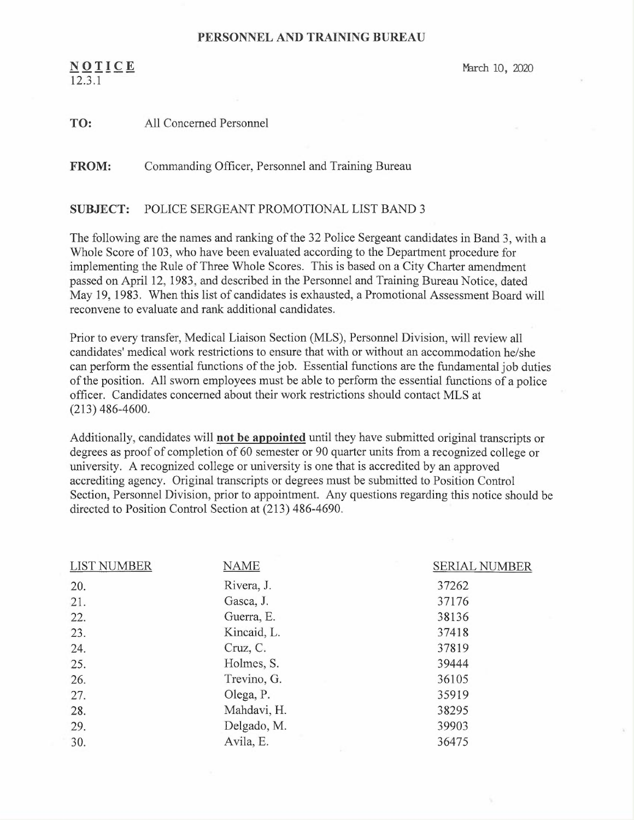## PERSONNEL AND TRAINING BUREAU

 $N O I I C E$  March 10, 2020 12.3.1

| TO: | All Concerned Personnel |
|-----|-------------------------|
|     |                         |

FROM: Commanding Officer, Personnel and Training Bureau

## SUBJECT: POLICE SERGEANT PROMOTIONAL LIST BAND 3

The following are the names and ranking of the 32 Police Sergeant candidates in Band 3, with a Whole Score of 103, who have been evaluated according to the Department procedure for implementing the Rule of Three Whole Scores. This is based on a City Charter amendment passed on April 12, 1983, and described in the Personnel and Training Bureau Notice, dated May 19, 1983. When this list of candidates is exhausted, a Promotional Assessment Board will reconvene to evaluate and rank additional candidates.

Prior to every transfer, Medical Liaison Section (MLS), Personnel Division, will review all candidates' medical work restrictions to ensure that with or without an accommodation he/she can perform the essential functions of the job. Essential functions are the fundamental job duties of the position. All sworn employees must be able to perform the essential functions of a police officer. Candidates concerned about their work restrictions should contact MLS at (213) 486-4600.

Additionally, candidates will not be appointed until they have submitted original transcripts or degrees as proof of completion of 60 semester or 90 quarter units from a recognized college or university. A recognized college or university is one that is accredited by an approved accrediting agency. Original transcripts or degrees must be submitted to Position Control Section, Personnel Division, prior to appointment. Any questions regarding this notice should be directed to Position Control Section at (213) 486-4690.

| <b>LIST NUMBER</b> | <b>NAME</b> | <b>SERIAL NUMBER</b> |
|--------------------|-------------|----------------------|
| 20.                | Rivera, J.  | 37262                |
| 21.                | Gasca, J.   | 37176                |
| 22.                | Guerra, E.  | 38136                |
| 23.                | Kincaid, L. | 37418                |
| 24.                | Cruz, C.    | 37819                |
| 25.                | Holmes, S.  | 39444                |
| 26.                | Trevino, G. | 36105                |
| 27.                | Olega, P.   | 35919                |
| 28.                | Mahdavi, H. | 38295                |
| 29.                | Delgado, M. | 39903                |
| 30.                | Avila, E.   | 36475                |